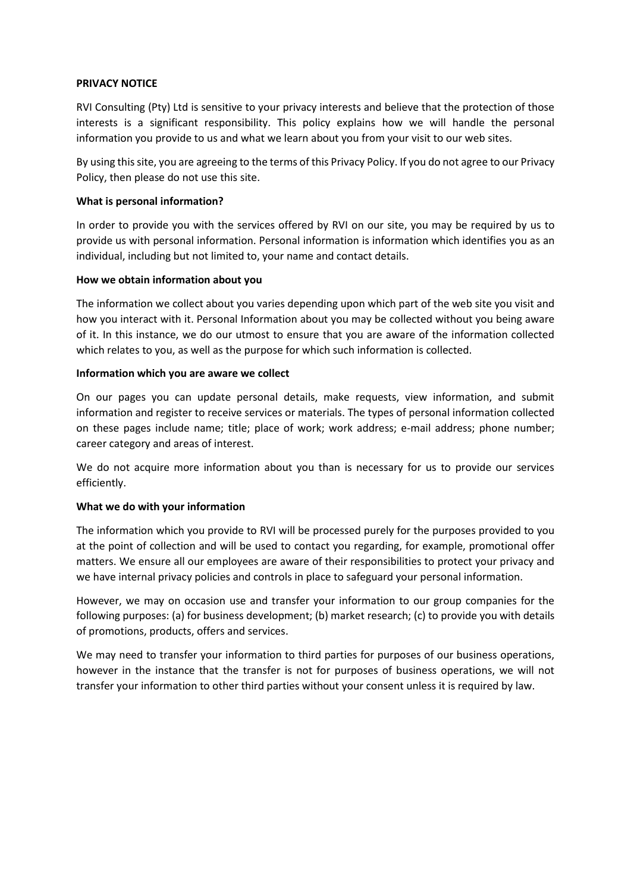### **PRIVACY NOTICE**

RVI Consulting (Pty) Ltd is sensitive to your privacy interests and believe that the protection of those interests is a significant responsibility. This policy explains how we will handle the personal information you provide to us and what we learn about you from your visit to our web sites.

By using thissite, you are agreeing to the terms of this Privacy Policy. If you do not agree to our Privacy Policy, then please do not use this site.

### **What is personal information?**

In order to provide you with the services offered by RVI on our site, you may be required by us to provide us with personal information. Personal information is information which identifies you as an individual, including but not limited to, your name and contact details.

### **How we obtain information about you**

The information we collect about you varies depending upon which part of the web site you visit and how you interact with it. Personal Information about you may be collected without you being aware of it. In this instance, we do our utmost to ensure that you are aware of the information collected which relates to you, as well as the purpose for which such information is collected.

### **Information which you are aware we collect**

On our pages you can update personal details, make requests, view information, and submit information and register to receive services or materials. The types of personal information collected on these pages include name; title; place of work; work address; e-mail address; phone number; career category and areas of interest.

We do not acquire more information about you than is necessary for us to provide our services efficiently.

### **What we do with your information**

The information which you provide to RVI will be processed purely for the purposes provided to you at the point of collection and will be used to contact you regarding, for example, promotional offer matters. We ensure all our employees are aware of their responsibilities to protect your privacy and we have internal privacy policies and controls in place to safeguard your personal information.

However, we may on occasion use and transfer your information to our group companies for the following purposes: (a) for business development; (b) market research; (c) to provide you with details of promotions, products, offers and services.

We may need to transfer your information to third parties for purposes of our business operations, however in the instance that the transfer is not for purposes of business operations, we will not transfer your information to other third parties without your consent unless it is required by law.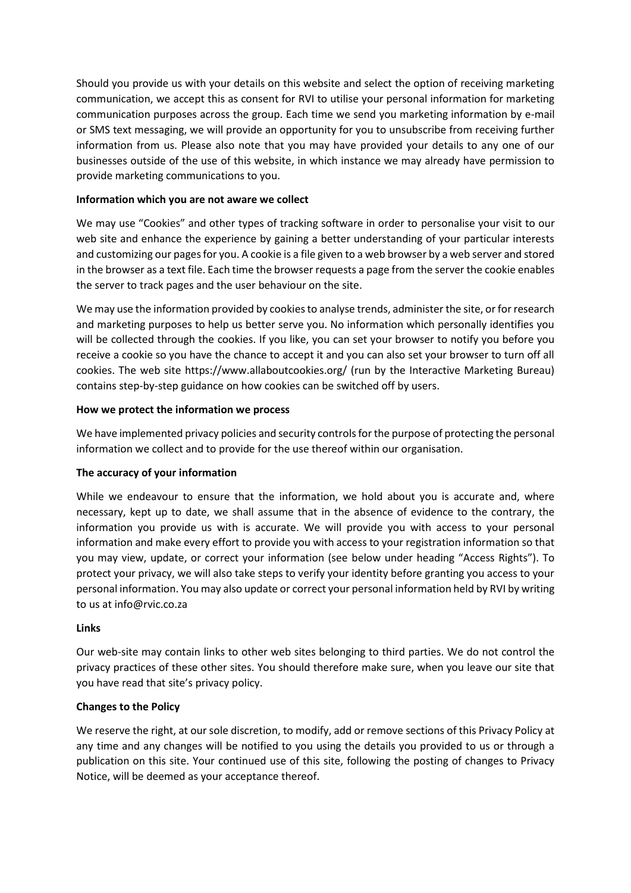Should you provide us with your details on this website and select the option of receiving marketing communication, we accept this as consent for RVI to utilise your personal information for marketing communication purposes across the group. Each time we send you marketing information by e-mail or SMS text messaging, we will provide an opportunity for you to unsubscribe from receiving further information from us. Please also note that you may have provided your details to any one of our businesses outside of the use of this website, in which instance we may already have permission to provide marketing communications to you.

# **Information which you are not aware we collect**

We may use "Cookies" and other types of tracking software in order to personalise your visit to our web site and enhance the experience by gaining a better understanding of your particular interests and customizing our pages for you. A cookie is a file given to a web browser by a web server and stored in the browser as a text file. Each time the browser requests a page from the server the cookie enables the server to track pages and the user behaviour on the site.

We may use the information provided by cookies to analyse trends, administer the site, or for research and marketing purposes to help us better serve you. No information which personally identifies you will be collected through the cookies. If you like, you can set your browser to notify you before you receive a cookie so you have the chance to accept it and you can also set your browser to turn off all cookies. The web site https://www.allaboutcookies.org/ (run by the Interactive Marketing Bureau) contains step-by-step guidance on how cookies can be switched off by users.

## **How we protect the information we process**

We have implemented privacy policies and security controls for the purpose of protecting the personal information we collect and to provide for the use thereof within our organisation.

# **The accuracy of your information**

While we endeavour to ensure that the information, we hold about you is accurate and, where necessary, kept up to date, we shall assume that in the absence of evidence to the contrary, the information you provide us with is accurate. We will provide you with access to your personal information and make every effort to provide you with access to your registration information so that you may view, update, or correct your information (see below under heading "Access Rights"). To protect your privacy, we will also take steps to verify your identity before granting you access to your personal information. You may also update or correct your personal information held by RVI by writing to us at info@rvic.co.za

### **Links**

Our web-site may contain links to other web sites belonging to third parties. We do not control the privacy practices of these other sites. You should therefore make sure, when you leave our site that you have read that site's privacy policy.

# **Changes to the Policy**

We reserve the right, at our sole discretion, to modify, add or remove sections of this Privacy Policy at any time and any changes will be notified to you using the details you provided to us or through a publication on this site. Your continued use of this site, following the posting of changes to Privacy Notice, will be deemed as your acceptance thereof.